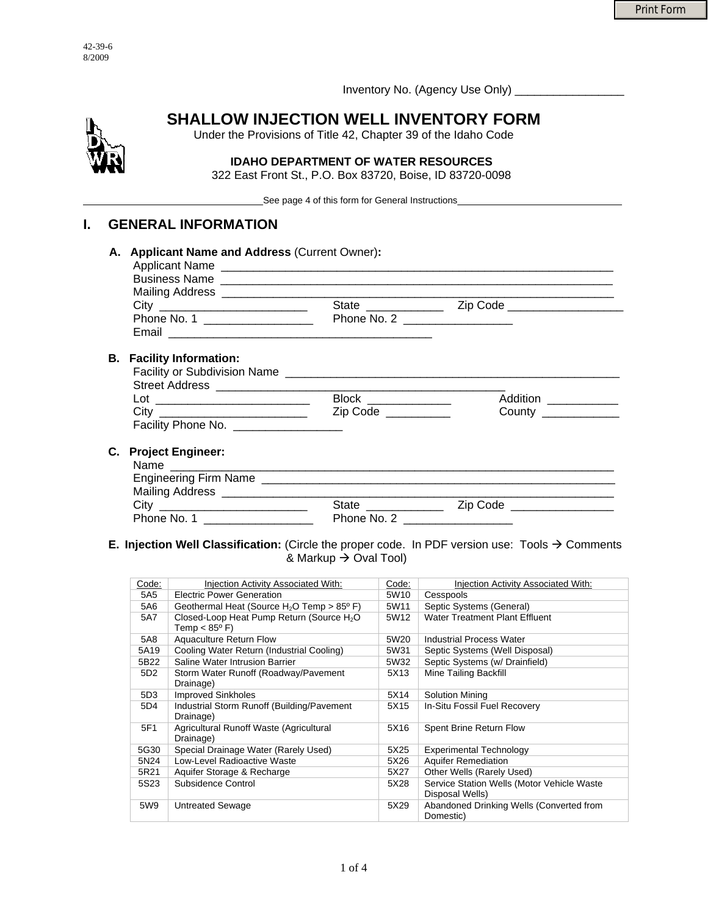Inventory No. (Agency Use Only) \_\_\_\_\_\_\_\_\_\_\_\_\_\_\_\_\_



# **SHALLOW INJECTION WELL INVENTORY FORM**

Under the Provisions of Title 42, Chapter 39 of the Idaho Code

### **IDAHO DEPARTMENT OF WATER RESOURCES**  322 East Front St., P.O. Box 83720, Boise, ID 83720-0098

\_\_\_\_\_\_\_\_\_\_\_\_\_\_\_\_\_\_\_\_\_\_\_\_\_\_\_\_\_\_\_\_\_\_\_See page 4 of this form for General Instructions\_\_\_\_\_\_\_\_\_\_\_\_\_\_\_\_\_\_\_\_\_\_\_\_\_\_\_\_\_\_\_\_

### **I. GENERAL INFORMATION**

|                                       | State ____________    | Zip Code _____________________ |
|---------------------------------------|-----------------------|--------------------------------|
| Phone No. 1 __________________        | Phone No. 2           |                                |
|                                       |                       |                                |
| <b>B.</b> Facility Information:       |                       |                                |
|                                       |                       |                                |
|                                       |                       |                                |
|                                       | Block _______________ | Addition                       |
|                                       | Zip Code              | <b>County County</b>           |
| Facility Phone No. __________________ |                       |                                |
| C. Project Engineer:                  |                       |                                |
|                                       |                       |                                |
|                                       |                       |                                |
|                                       |                       |                                |
|                                       | State ______          |                                |

### **E. Injection Well Classification:** (Circle the proper code. In PDF version use: Tools  $\rightarrow$  Comments & Markup  $\rightarrow$  Oval Tool)

Phone No. 1 \_\_\_\_\_\_\_\_\_\_\_\_\_\_\_\_\_ Phone No. 2 \_\_\_\_\_\_\_\_\_\_\_\_\_\_\_\_\_

| Code:           | Injection Activity Associated With:                                             | Code:            | Injection Activity Associated With:                           |
|-----------------|---------------------------------------------------------------------------------|------------------|---------------------------------------------------------------|
| 5A5             | Electric Power Generation                                                       | 5W <sub>10</sub> | Cesspools                                                     |
| 5A6             | Geothermal Heat (Source $H_2O$ Temp > 85 <sup>o</sup> F)                        | 5W11             | Septic Systems (General)                                      |
| 5A7             | Closed-Loop Heat Pump Return (Source H <sub>2</sub> O<br>Temp $< 85^{\circ}$ F) | 5W12             | Water Treatment Plant Effluent                                |
| 5A8             | Aquaculture Return Flow                                                         | 5W20             | <b>Industrial Process Water</b>                               |
| 5A19            | Cooling Water Return (Industrial Cooling)                                       | 5W31             | Septic Systems (Well Disposal)                                |
| 5B22            | Saline Water Intrusion Barrier                                                  | 5W32             | Septic Systems (w/ Drainfield)                                |
| 5D <sub>2</sub> | Storm Water Runoff (Roadway/Pavement<br>Drainage)                               | 5X13             | <b>Mine Tailing Backfill</b>                                  |
| 5D3             | <b>Improved Sinkholes</b>                                                       | 5X14             | <b>Solution Mining</b>                                        |
| 5D4             | Industrial Storm Runoff (Building/Pavement<br>Drainage)                         | 5X15             | In-Situ Fossil Fuel Recovery                                  |
| 5F1             | Agricultural Runoff Waste (Agricultural<br>Drainage)                            | 5X16             | Spent Brine Return Flow                                       |
| 5G30            | Special Drainage Water (Rarely Used)                                            | 5X25             | <b>Experimental Technology</b>                                |
| 5N24            | Low-Level Radioactive Waste                                                     | 5X26             | <b>Aquifer Remediation</b>                                    |
| 5R21            | Aquifer Storage & Recharge                                                      | 5X27             | Other Wells (Rarely Used)                                     |
| 5S23            | Subsidence Control                                                              | 5X28             | Service Station Wells (Motor Vehicle Waste<br>Disposal Wells) |
| 5W9             | Untreated Sewage                                                                | 5X29             | Abandoned Drinking Wells (Converted from<br>Domestic)         |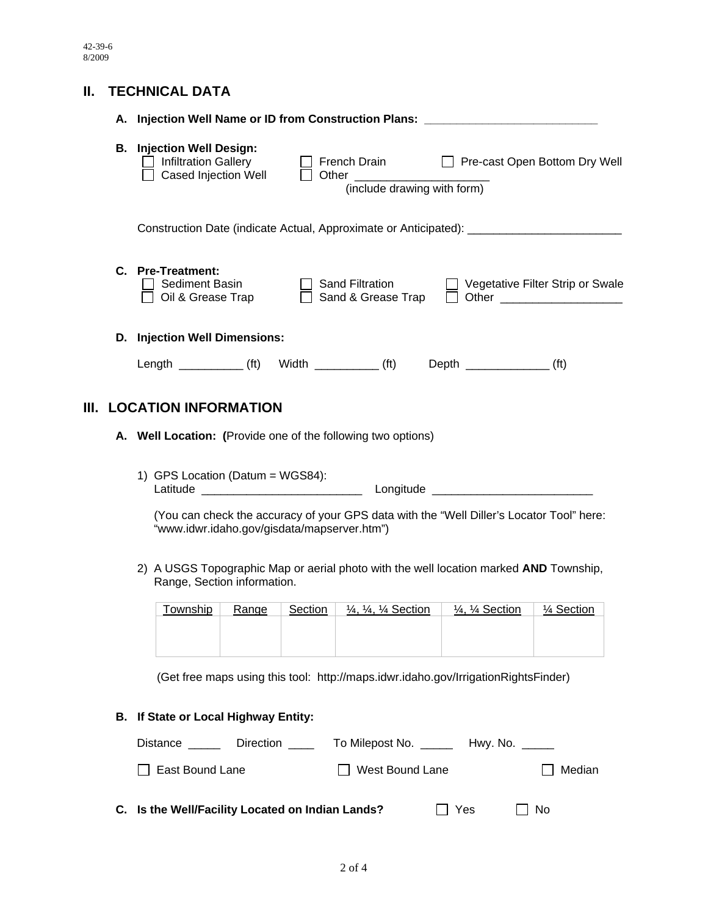## **II. TECHNICAL DATA**

|                                                                                                                      |    | A. Injection Well Name or ID from Construction Plans: _                                                                      |           |         |                                                                      |                                                                                    |                                  |  |  |
|----------------------------------------------------------------------------------------------------------------------|----|------------------------------------------------------------------------------------------------------------------------------|-----------|---------|----------------------------------------------------------------------|------------------------------------------------------------------------------------|----------------------------------|--|--|
|                                                                                                                      |    | <b>B.</b> Injection Well Design:<br><b>Infiltration Gallery</b><br>Cased Injection Well                                      |           |         | $\Box$ French Drain<br>Other ________<br>(include drawing with form) |                                                                                    | Pre-cast Open Bottom Dry Well    |  |  |
|                                                                                                                      |    | Construction Date (indicate Actual, Approximate or Anticipated): _______________                                             |           |         |                                                                      |                                                                                    |                                  |  |  |
|                                                                                                                      |    | C. Pre-Treatment:<br>Sediment Basin<br>Oil & Grease Trap                                                                     |           |         | <b>Sand Filtration</b><br>Sand & Grease Trap                         |                                                                                    | Vegetative Filter Strip or Swale |  |  |
| D. Injection Well Dimensions:                                                                                        |    |                                                                                                                              |           |         |                                                                      |                                                                                    |                                  |  |  |
|                                                                                                                      |    |                                                                                                                              |           |         |                                                                      | Length (ft) Width (ft) Depth (ft) (ft)                                             |                                  |  |  |
| <b>LOCATION INFORMATION</b><br>III.                                                                                  |    |                                                                                                                              |           |         |                                                                      |                                                                                    |                                  |  |  |
| A. Well Location: (Provide one of the following two options)                                                         |    |                                                                                                                              |           |         |                                                                      |                                                                                    |                                  |  |  |
|                                                                                                                      |    | 1) GPS Location (Datum = WGS84):<br>(You can check the accuracy of your GPS data with the "Well Diller's Locator Tool" here: |           |         |                                                                      |                                                                                    |                                  |  |  |
|                                                                                                                      |    | "www.idwr.idaho.gov/gisdata/mapserver.htm")                                                                                  |           |         |                                                                      |                                                                                    |                                  |  |  |
| 2) A USGS Topographic Map or aerial photo with the well location marked AND Township,<br>Range, Section information. |    |                                                                                                                              |           |         |                                                                      |                                                                                    |                                  |  |  |
|                                                                                                                      |    | <b>Township</b>                                                                                                              | Range     | Section | 1/4, 1/4, 1/4 Section                                                | $\frac{1}{4}$ , $\frac{1}{4}$ Section                                              | 1⁄4 Section                      |  |  |
|                                                                                                                      |    |                                                                                                                              |           |         |                                                                      |                                                                                    |                                  |  |  |
|                                                                                                                      |    |                                                                                                                              |           |         |                                                                      | (Get free maps using this tool: http://maps.idwr.idaho.gov/IrrigationRightsFinder) |                                  |  |  |
|                                                                                                                      | В. | If State or Local Highway Entity:                                                                                            |           |         |                                                                      |                                                                                    |                                  |  |  |
|                                                                                                                      |    | Distance _____                                                                                                               | Direction |         |                                                                      | To Milepost No. ________ Hwy. No. ______                                           |                                  |  |  |
|                                                                                                                      |    | East Bound Lane                                                                                                              |           |         | West Bound Lane                                                      |                                                                                    | Median                           |  |  |

**C.** Is the Well/Facility Located on Indian Lands?  $\Box$  Yes  $\Box$  No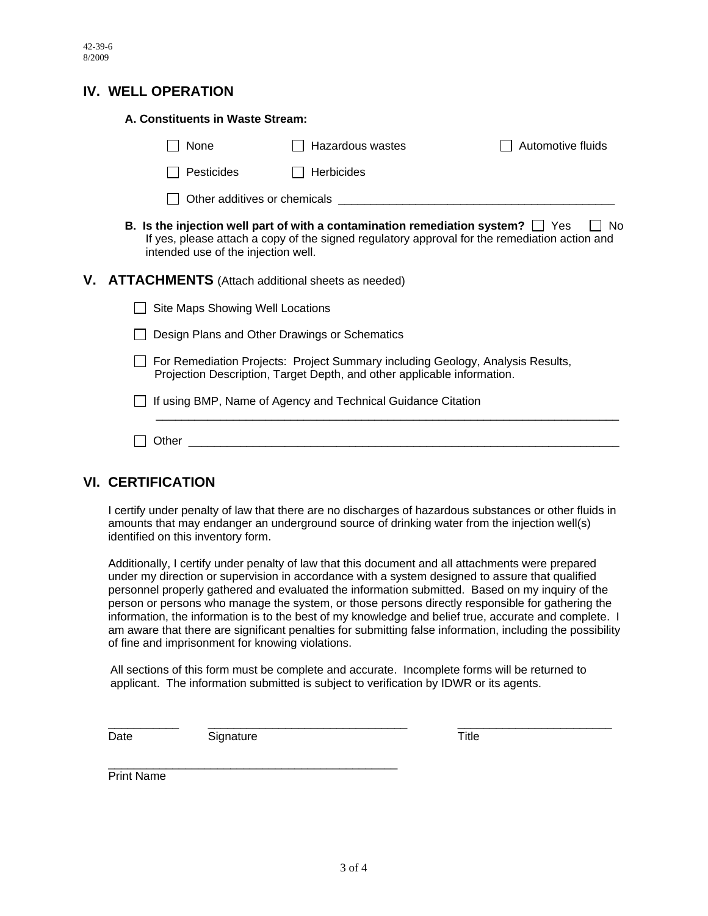### **IV. WELL OPERATION**

| A. Constituents in Waste Stream:                                                                                                                                                                                                   |                   |                   |  |  |  |
|------------------------------------------------------------------------------------------------------------------------------------------------------------------------------------------------------------------------------------|-------------------|-------------------|--|--|--|
| None                                                                                                                                                                                                                               | Hazardous wastes  | Automotive fluids |  |  |  |
| <b>Pesticides</b>                                                                                                                                                                                                                  | <b>Herbicides</b> |                   |  |  |  |
|                                                                                                                                                                                                                                    |                   |                   |  |  |  |
| B. Is the injection well part of with a contamination remediation system? $\Box$ Yes<br>No<br>If yes, please attach a copy of the signed regulatory approval for the remediation action and<br>intended use of the injection well. |                   |                   |  |  |  |
| V. ATTACHMENTS (Attach additional sheets as needed)                                                                                                                                                                                |                   |                   |  |  |  |
| Site Maps Showing Well Locations                                                                                                                                                                                                   |                   |                   |  |  |  |
| Design Plans and Other Drawings or Schematics                                                                                                                                                                                      |                   |                   |  |  |  |
| For Remediation Projects: Project Summary including Geology, Analysis Results,<br>Projection Description, Target Depth, and other applicable information.                                                                          |                   |                   |  |  |  |
| If using BMP, Name of Agency and Technical Guidance Citation                                                                                                                                                                       |                   |                   |  |  |  |
| Other                                                                                                                                                                                                                              |                   |                   |  |  |  |

### **VI. CERTIFICATION**

I certify under penalty of law that there are no discharges of hazardous substances or other fluids in amounts that may endanger an underground source of drinking water from the injection well(s) identified on this inventory form.

Additionally, I certify under penalty of law that this document and all attachments were prepared under my direction or supervision in accordance with a system designed to assure that qualified personnel properly gathered and evaluated the information submitted. Based on my inquiry of the person or persons who manage the system, or those persons directly responsible for gathering the information, the information is to the best of my knowledge and belief true, accurate and complete. I am aware that there are significant penalties for submitting false information, including the possibility of fine and imprisonment for knowing violations.

 All sections of this form must be complete and accurate. Incomplete forms will be returned to applicant. The information submitted is subject to verification by IDWR or its agents.

\_\_\_\_\_\_\_\_\_\_\_ \_\_\_\_\_\_\_\_\_\_\_\_\_\_\_\_\_\_\_\_\_\_\_\_\_\_\_\_\_\_\_ \_\_\_\_\_\_\_\_\_\_\_\_\_\_\_\_\_\_\_\_\_\_\_\_ Date Signature Signature Title

\_\_\_\_\_\_\_\_\_\_\_\_\_\_\_\_\_\_\_\_\_\_\_\_\_\_\_\_\_\_\_\_\_\_\_\_\_\_\_\_\_\_\_\_\_

Print Name